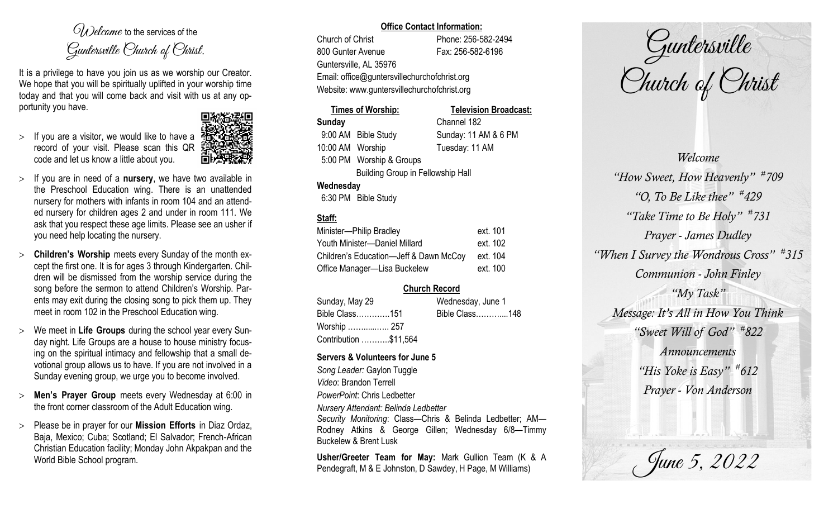$O(\lambda)$  elcame to the services of the Guntersville Church of Christ.

It is a privilege to have you join us as we worship our Creator. We hope that you will be spiritually uplifted in your worship time today and that you will come back and visit with us at any opportunity you have.

 $>$  If you are a visitor, we would like to have a record of your visit. Please scan this QR code and let us know a little about you.



- $>$  If you are in need of a **nursery**, we have two available in the Preschool Education wing. There is an unattended nursery for mothers with infants in room 104 and an attended nursery for children ages 2 and under in room 111. We ask that you respect these age limits. Please see an usher if you need help locating the nursery.
- **Children's Worship** meets every Sunday of the month except the first one. It is for ages 3 through Kindergarten. Children will be dismissed from the worship service during the song before the sermon to attend Children's Worship. Parents may exit during the closing song to pick them up. They meet in room 102 in the Preschool Education wing.
- We meet in **Life Groups** during the school year every Sunday night. Life Groups are a house to house ministry focusing on the spiritual intimacy and fellowship that a small devotional group allows us to have. If you are not involved in a Sunday evening group, we urge you to become involved.
- **Men's Prayer Group** meets every Wednesday at 6:00 in the front corner classroom of the Adult Education wing.
- Please be in prayer for our **Mission Efforts** in Diaz Ordaz, Baja, Mexico; Cuba; Scotland; El Salvador; French-African Christian Education facility; Monday John Akpakpan and the World Bible School program.

#### **Office Contact Information:**

Church of Christ Phone: 256-582-2494 800 Gunter Avenue Fax: 256-582-6196 Guntersville, AL 35976 Email: office@guntersvillechurchofchrist.org Website: www.guntersvillechurchofchrist.org

## **Times of Worship: Television Broadcast: Sunday** Channel 182 9:00 AM Bible Study Sunday: 11 AM & 6 PM

10:00 AM Worship Tuesday: 11 AM 5:00 PM Worship & Groups Building Group in Fellowship Hall

## **Wednesday**

6:30 PM Bible Study

# **Staff:**

| Minister-Philip Bradley                | ext. 101 |
|----------------------------------------|----------|
| Youth Minister-Daniel Millard          | ext. 102 |
| Children's Education-Jeff & Dawn McCoy | ext. 104 |
| Office Manager-Lisa Buckelew           | ext. 100 |

# **Church Record**

| Sunday, May 29        | Wednesday, June 1 |  |
|-----------------------|-------------------|--|
| Bible Class151        | Bible Class148    |  |
| Worship  257          |                   |  |
| Contribution \$11,564 |                   |  |

## **Servers & Volunteers for June 5**

*Song Leader:* Gaylon Tuggle *Video*: Brandon Terrell *PowerPoint*: Chris Ledbetter *Nursery Attendant: Belinda Ledbetter Security Monitoring*: Class—Chris & Belinda Ledbetter; AM— Rodney Atkins & George Gillen; Wednesday 6/8—Timmy Buckelew & Brent Lusk

**Usher/Greeter Team for May:** Mark Gullion Team (K & A Pendegraft, M & E Johnston, D Sawdey, H Page, M Williams)

Guntersville Church of Christ

*Welcome "How Sweet, How Heavenly" # 709 "O, To Be Like thee" # 429 "Take Time to Be Holy" # 731 Prayer - James Dudley "When I Survey the Wondrous Cross" # 315 Communion - John Finley "My Task" Message: It's All in How You Think "Sweet Will of God" # 822 Announcements "His Yoke is Easy" # 612 Prayer - Von Anderson*

June 5, 2022